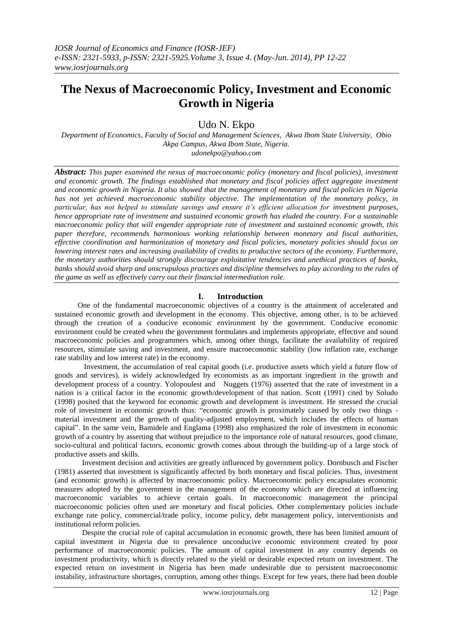# **The Nexus of Macroeconomic Policy, Investment and Economic Growth in Nigeria**

Udo N. Ekpo

*Department of Economics, Faculty of Social and Management Sciences, Akwa Ibom State University, Obio Akpa Campus, Akwa Ibom State, Nigeria.*

*udonekpo@yahoo.com*

*Abstract: This paper examined the nexus of macroeconomic policy (monetary and fiscal policies), investment and economic growth. The findings established that monetary and fiscal policies affect aggregate investment and economic growth in Nigeria. It also showed that the management of monetary and fiscal policies in Nigeria has not yet achieved macroeconomic stability objective. The implementation of the monetary policy, in particular, has not helped to stimulate savings and ensure it's efficient allocation for investment purposes, hence appropriate rate of investment and sustained economic growth has eluded the country. For a sustainable macroeconomic policy that will engender appropriate rate of investment and sustained economic growth, this paper therefore, recommends harmonious working relationship between monetary and fiscal authorities, effective coordination and harmonization of monetary and fiscal policies, monetary policies should focus on lowering interest rates and increasing availability of credits to productive sectors of the economy. Furthermore, the monetary authorities should strongly discourage exploitative tendencies and unethical practices of banks, banks should avoid sharp and unscrupulous practices and discipline themselves to play according to the rules of the game as well as effectively carry out their financial intermediation role.* 

### **I. Introduction**

 One of the fundamental macroeconomic objectives of a country is the attainment of accelerated and sustained economic growth and development in the economy. This objective, among other, is to be achieved through the creation of a conducive economic environment by the government. Conducive economic environment could be created when the government formulates and implements appropriate, effective and sound macroeconomic policies and programmers which, among other things, facilitate the availability of required resources, stimulate saving and investment, and ensure macroeconomic stability (low inflation rate, exchange rate stability and low interest rate) in the economy.

Investment, the accumulation of real capital goods (i.e. productive assets which yield a future flow of goods and services), is widely acknowledged by economists as an important ingredient in the growth and development process of a country. Yolopoulest and Nuggets (1976) asserted that the rate of investment in a nation is a critical factor in the economic growth/development of that nation. Scott (1991) cited by Soludo (1998) posited that the keyword for economic growth and development is investment. He stressed the crucial role of investment in economic growth thus: "economic growth is proximately caused by only two things material investment and the growth of quality-adjusted employment, which includes the effects of human capital". In the same vein, Bamidele and Englama (1998) also emphasized the role of investment in economic growth of a country by asserting that without prejudice to the importance role of natural resources, good climate, socio-cultural and political factors, economic growth comes about through the building-up of a large stock of productive assets and skills.

Investment decision and activities are greatly influenced by government policy. Dornbusch and Fischer (1981) asserted that investment is significantly affected by both monetary and fiscal policies. Thus, investment (and economic growth) is affected by macroeconomic policy. Macroeconomic policy encapsulates economic measures adopted by the government in the management of the economy which are directed at influencing macroeconomic variables to achieve certain goals. In macroeconomic management the principal macroeconomic policies often used are monetary and fiscal policies. Other complementary policies include exchange rate policy, commercial/trade policy, income policy, debt management policy, interventionists and institutional reform policies.

Despite the crucial role of capital accumulation in economic growth, there has been limited amount of capital investment in Nigeria due to prevalence unconducive economic environment created by poor performance of macroeconomic policies. The amount of capital investment in any country depends on investment productivity, which is directly related to the yield or desirable expected return on investment. The expected return on investment in Nigeria has been made undesirable due to persistent macroeconomic instability, infrastructure shortages, corruption, among other things. Except for few years, there had been double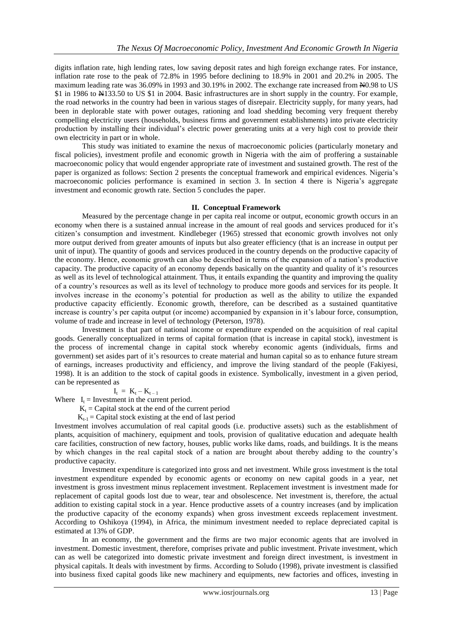digits inflation rate, high lending rates, low saving deposit rates and high foreign exchange rates. For instance, inflation rate rose to the peak of 72.8% in 1995 before declining to 18.9% in 2001 and 20.2% in 2005. The maximum leading rate was 36.09% in 1993 and 30.19% in 2002. The exchange rate increased from N0.98 to US \$1 in 1986 to  $\text{\#}133.50$  to US \$1 in 2004. Basic infrastructures are in short supply in the country. For example, the road networks in the country had been in various stages of disrepair. Electricity supply, for many years, had been in deplorable state with power outages, rationing and load shedding becoming very frequent thereby compelling electricity users (households, business firms and government establishments) into private electricity production by installing their individual"s electric power generating units at a very high cost to provide their own electricity in part or in whole.

This study was initiated to examine the nexus of macroeconomic policies (particularly monetary and fiscal policies), investment profile and economic growth in Nigeria with the aim of proffering a sustainable macroeconomic policy that would engender appropriate rate of investment and sustained growth. The rest of the paper is organized as follows: Section 2 presents the conceptual framework and empirical evidences. Nigeria"s macroeconomic policies performance is examined in section 3. In section 4 there is Nigeria"s aggregate investment and economic growth rate. Section 5 concludes the paper.

#### **II. Conceptual Framework**

Measured by the percentage change in per capita real income or output, economic growth occurs in an economy when there is a sustained annual increase in the amount of real goods and services produced for it"s citizen"s consumption and investment. Kindlebeger (1965) stressed that economic growth involves not only more output derived from greater amounts of inputs but also greater efficiency (that is an increase in output per unit of input). The quantity of goods and services produced in the country depends on the productive capacity of the economy. Hence, economic growth can also be described in terms of the expansion of a nation"s productive capacity. The productive capacity of an economy depends basically on the quantity and quality of it's resources as well as its level of technological attainment. Thus, it entails expanding the quantity and improving the quality of a country"s resources as well as its level of technology to produce more goods and services for its people. It involves increase in the economy"s potential for production as well as the ability to utilize the expanded productive capacity efficiently. Economic growth, therefore, can be described as a sustained quantitative increase is country's per capita output (or income) accompanied by expansion in it's labour force, consumption, volume of trade and increase in level of technology (Peterson, 1978).

Investment is that part of national income or expenditure expended on the acquisition of real capital goods. Generally conceptualized in terms of capital formation (that is increase in capital stock), investment is the process of incremental change in capital stock whereby economic agents (individuals, firms and government) set asides part of it"s resources to create material and human capital so as to enhance future stream of earnings, increases productivity and efficiency, and improve the living standard of the people (Fakiyesi, 1998). It is an addition to the stock of capital goods in existence. Symbolically, investment in a given period, can be represented as

 $\mathbf{I}_t$  $\begin{array}{lcl} I_t &=& K_t - K_{t-1} \end{array}$ 

Where  $I_t =$  Investment in the current period.

 $K_t$  = Capital stock at the end of the current period

 $K_{t-1}$  = Capital stock existing at the end of last period

Investment involves accumulation of real capital goods (i.e. productive assets) such as the establishment of plants, acquisition of machinery, equipment and tools, provision of qualitative education and adequate health care facilities, construction of new factory, houses, public works like dams, roads, and buildings. It is the means by which changes in the real capital stock of a nation are brought about thereby adding to the country"s productive capacity.

Investment expenditure is categorized into gross and net investment. While gross investment is the total investment expenditure expended by economic agents or economy on new capital goods in a year, net investment is gross investment minus replacement investment. Replacement investment is investment made for replacement of capital goods lost due to wear, tear and obsolescence. Net investment is, therefore, the actual addition to existing capital stock in a year. Hence productive assets of a country increases (and by implication the productive capacity of the economy expands) when gross investment exceeds replacement investment. According to Oshikoya (1994), in Africa, the minimum investment needed to replace depreciated capital is estimated at 13% of GDP.

In an economy, the government and the firms are two major economic agents that are involved in investment. Domestic investment, therefore, comprises private and public investment. Private investment, which can as well be categorized into domestic private investment and foreign direct investment, is investment in physical capitals. It deals with investment by firms. According to Soludo (1998), private investment is classified into business fixed capital goods like new machinery and equipments, new factories and offices, investing in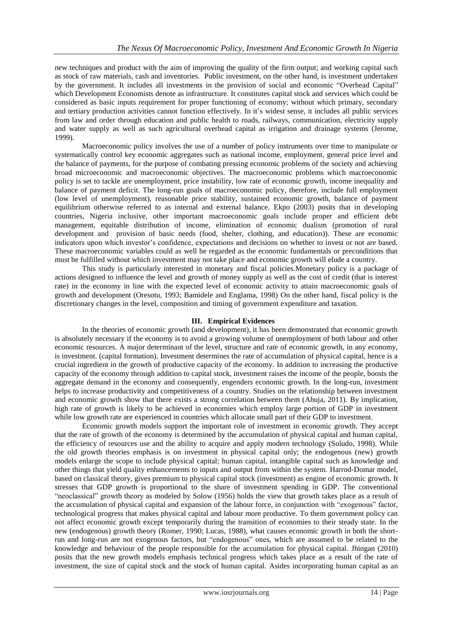new techniques and product with the aim of improving the quality of the firm output; and working capital such as stock of raw materials, cash and inventories. Public investment, on the other hand, is investment undertaken by the government. It includes all investments in the provision of social and economic "Overhead Capital" which Development Economists denote as infrastructure. It constitutes capital stock and services which could be considered as basic inputs requirement for proper functioning of economy; without which primary, secondary and tertiary production activities cannot function effectively. In it"s widest sense, it includes all public services from law and order through education and public health to roads, railways, communication, electricity supply and water supply as well as such agricultural overhead capital as irrigation and drainage systems (Jerome, 1999).

Macroeconomic policy involves the use of a number of policy instruments over time to manipulate or systematically control key economic aggregates such as national income, employment, general price level and the balance of payments, for the purpose of combating pressing economic problems of the society and achieving broad microeconomic and macroeconomic objectives. The macroeconomic problems which macroeconomic policy is set to tackle are unemployment, price instability, low rate of economic growth, income inequality and balance of payment deficit. The long-run goals of macroeconomic policy, therefore, include full employment (low level of unemployment), reasonable price stability, sustained economic growth, balance of payment equilibrium otherwise referred to as internal and external balance. Ekpo (2003) posits that in developing countries, Nigeria inclusive, other important macroeconomic goals include proper and efficient debt management, equitable distribution of income, elimination of economic dualism (promotion of rural development and provision of basic needs (food, shelter, clothing, and education)). These are economic indicators upon which investor's confidence, expectations and decisions on whether to invest or not are based. These macroeconomic variables could as well be regarded as the economic fundamentals or preconditions that must be fulfilled without which investment may not take place and economic growth will elude a country.

This study is particularly interested in monetary and fiscal policies.Monetary policy is a package of actions designed to influence the level and growth of money supply as well as the cost of credit (that is interest rate) in the economy in line with the expected level of economic activity to attain macroeconomic goals of growth and development (Oresotu, 1993; Bamidele and Englama, 1998) On the other hand, fiscal policy is the discretionary changes in the level, composition and timing of government expenditure and taxation.

## **III. Empirical Evidences**

In the theories of economic growth (and development), it has been demonstrated that economic growth is absolutely necessary if the economy is to avoid a growing volume of unemployment of both labour and other economic resources. A major determinant of the level, structure and rate of economic growth, in any economy, is investment. (capital formation). Investment determines the rate of accumulation of physical capital, hence is a crucial ingredient in the growth of productive capacity of the economy. In addition to increasing the productive capacity of the economy through addition to capital stock, investment raises the income of the people, boosts the aggregate demand in the economy and consequently, engenders economic growth. In the long-run, investment helps to increase productivity and competitiveness of a country. Studies on the relationship between investment and economic growth show that there exists a strong correlation between them (Ahuja, 2011). By implication, high rate of growth is likely to be achieved in economies which employ large portion of GDP in investment while low growth rate are experienced in countries which allocate small part of their GDP to investment.

Economic growth models support the important role of investment in economic growth. They accept that the rate of growth of the economy is determined by the accumulation of physical capital and human capital, the efficiency of resources use and the ability to acquire and apply modern technology (Soludo, 1998). While the old growth theories emphasis is on investment in physical capital only; the endogenous (new) growth models enlarge the scope to include physical capital; human capital, intangible capital such as knowledge and other things that yield quality enhancements to inputs and output from within the system. Harrod-Domar model, based on classical theory, gives premium to physical capital stock (investment) as engine of economic growth. It stresses that GDP growth is proportional to the share of investment spending in GDP. The conventional "neoclassical" growth theory as modeled by Solow (1956) holds the view that growth takes place as a result of the accumulation of physical capital and expansion of the labour force, in conjunction with "exogenous" factor, technological progress that makes physical capital and labour more productive. To them government policy can not affect economic growth except temporarily during the transition of economies to their steady state. In the new (endogenous) growth theory (Romer, 1990; Lucas, 1988), what causes economic growth in both the shortrun and long-run are not exogenous factors, but "endogenous" ones, which are assumed to be related to the knowledge and behaviour of the people responsible for the accumulation for physical capital. Jhingan (2010) posits that the new growth models emphasis technical progress which takes place as a result of the rate of investment, the size of capital stock and the stock of human capital. Asides incorporating human capital as an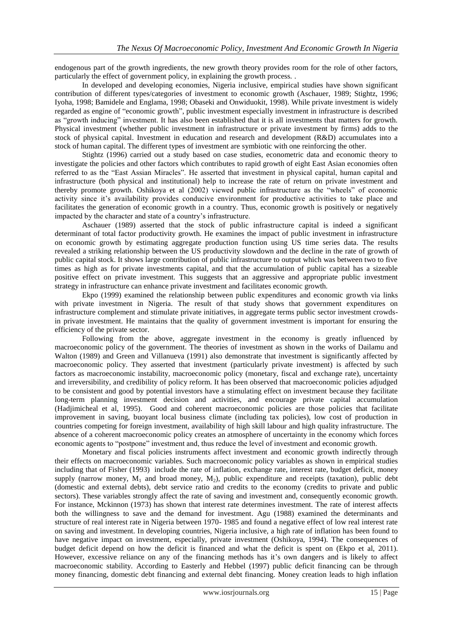endogenous part of the growth ingredients, the new growth theory provides room for the role of other factors, particularly the effect of government policy, in explaining the growth process. .

In developed and developing economies, Nigeria inclusive, empirical studies have shown significant contribution of different types/categories of investment to economic growth (Aschauer, 1989; Stightz, 1996; Iyoha, 1998; Bamidele and Englama, 1998; Obaseki and Onwiduokit, 1998). While private investment is widely regarded as engine of "economic growth", public investment especially investment in infrastructure is described as "growth inducing" investment. It has also been established that it is all investments that matters for growth. Physical investment (whether public investment in infrastructure or private investment by firms) adds to the stock of physical capital. Investment in education and research and development (R&D) accumulates into a stock of human capital. The different types of investment are symbiotic with one reinforcing the other.

Stightz (1996) carried out a study based on case studies, econometric data and economic theory to investigate the policies and other factors which contributes to rapid growth of eight East Asian economies often referred to as the "East Assian Miracles". He asserted that investment in physical capital, human capital and infrastructure (both physical and institutional) help to increase the rate of return on private investment and thereby promote growth. Oshikoya et al (2002) viewed public infrastructure as the "wheels" of economic activity since it"s availability provides conducive environment for productive activities to take place and facilitates the generation of economic growth in a country. Thus, economic growth is positively or negatively impacted by the character and state of a country"s infrastructure.

Aschauer (1989) asserted that the stock of public infrastructure capital is indeed a significant determinant of total factor productivity growth. He examines the impact of public investment in infrastructure on economic growth by estimating aggregate production function using US time series data. The results revealed a striking relationship between the US productivity slowdown and the decline in the rate of growth of public capital stock. It shows large contribution of public infrastructure to output which was between two to five times as high as for private investments capital, and that the accumulation of public capital has a sizeable positive effect on private investment. This suggests that an aggressive and appropriate public investment strategy in infrastructure can enhance private investment and facilitates economic growth.

Ekpo (1999) examined the relationship between public expenditures and economic growth via links with private investment in Nigeria. The result of that study shows that government expenditures on infrastructure complement and stimulate private initiatives, in aggregate terms public sector investment crowdsin private investment. He maintains that the quality of government investment is important for ensuring the efficiency of the private sector.

Following from the above, aggregate investment in the economy is greatly influenced by macroeconomic policy of the government. The theories of investment as shown in the works of Dailamu and Walton (1989) and Green and Villanueva (1991) also demonstrate that investment is significantly affected by macroeconomic policy. They asserted that investment (particularly private investment) is affected by such factors as macroeconomic instability, macroeconomic policy (monetary, fiscal and exchange rate), uncertainty and irreversibility, and credibility of policy reform. It has been observed that macroeconomic policies adjudged to be consistent and good by potential investors have a stimulating effect on investment because they facilitate long-term planning investment decision and activities, and encourage private capital accumulation (Hadjimicheal et al, 1995). Good and coherent macroeconomic policies are those policies that facilitate improvement in saving, buoyant local business climate (including tax policies), low cost of production in countries competing for foreign investment, availability of high skill labour and high quality infrastructure. The absence of a coherent macroeconomic policy creates an atmosphere of uncertainty in the economy which forces economic agents to "postpone" investment and, thus reduce the level of investment and economic growth.

Monetary and fiscal policies instruments affect investment and economic growth indirectly through their effects on macroeconomic variables. Such macroeconomic policy variables as shown in empirical studies including that of Fisher (1993) include the rate of inflation, exchange rate, interest rate, budget deficit, money supply (narrow money,  $M_1$  and broad money,  $M_2$ ), public expenditure and receipts (taxation), public debt (domestic and external debts), debt service ratio and credits to the economy (credits to private and public sectors). These variables strongly affect the rate of saving and investment and, consequently economic growth. For instance, Mckinnon (1973) has shown that interest rate determines investment. The rate of interest affects both the willingness to save and the demand for investment. Agu (1988) examined the determinants and structure of real interest rate in Nigeria between 1970- 1985 and found a negative effect of low real interest rate on saving and investment. In developing countries, Nigeria inclusive, a high rate of inflation has been found to have negative impact on investment, especially, private investment (Oshikoya, 1994). The consequences of budget deficit depend on how the deficit is financed and what the deficit is spent on (Ekpo et al, 2011). However, excessive reliance on any of the financing methods has it's own dangers and is likely to affect macroeconomic stability. According to Easterly and Hebbel (1997) public deficit financing can be through money financing, domestic debt financing and external debt financing. Money creation leads to high inflation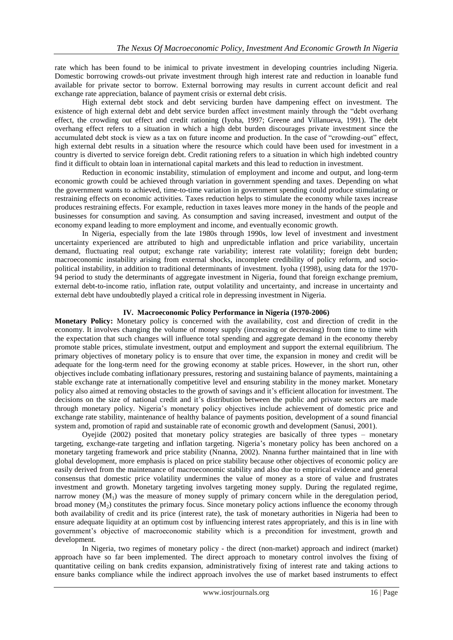rate which has been found to be inimical to private investment in developing countries including Nigeria. Domestic borrowing crowds-out private investment through high interest rate and reduction in loanable fund available for private sector to borrow. External borrowing may results in current account deficit and real exchange rate appreciation, balance of payment crisis or external debt crisis.

High external debt stock and debt servicing burden have dampening effect on investment. The existence of high external debt and debt service burden affect investment mainly through the "debt overhang effect, the crowding out effect and credit rationing (Iyoha, 1997; Greene and Villanueva, 1991). The debt overhang effect refers to a situation in which a high debt burden discourages private investment since the accumulated debt stock is view as a tax on future income and production. In the case of "crowding-out" effect, high external debt results in a situation where the resource which could have been used for investment in a country is diverted to service foreign debt. Credit rationing refers to a situation in which high indebted country find it difficult to obtain loan in international capital markets and this lead to reduction in investment.

Reduction in economic instability, stimulation of employment and income and output, and long-term economic growth could be achieved through variation in government spending and taxes. Depending on what the government wants to achieved, time-to-time variation in government spending could produce stimulating or restraining effects on economic activities. Taxes reduction helps to stimulate the economy while taxes increase produces restraining effects. For example, reduction in taxes leaves more money in the hands of the people and businesses for consumption and saving. As consumption and saving increased, investment and output of the economy expand leading to more employment and income, and eventually economic growth.

In Nigeria, especially from the late 1980s through 1990s, low level of investment and investment uncertainty experienced are attributed to high and unpredictable inflation and price variability, uncertain demand, fluctuating real output; exchange rate variability; interest rate volatility; foreign debt burden; macroeconomic instability arising from external shocks, incomplete credibility of policy reform, and sociopolitical instability, in addition to traditional determinants of investment. Iyoha (1998), using data for the 1970- 94 period to study the determinants of aggregate investment in Nigeria, found that foreign exchange premium, external debt-to-income ratio, inflation rate, output volatility and uncertainty, and increase in uncertainty and external debt have undoubtedly played a critical role in depressing investment in Nigeria.

## **IV. Macroeconomic Policy Performance in Nigeria (1970-2006)**

**Monetary Policy:** Monetary policy is concerned with the availability, cost and direction of credit in the economy. It involves changing the volume of money supply (increasing or decreasing) from time to time with the expectation that such changes will influence total spending and aggregate demand in the economy thereby promote stable prices, stimulate investment, output and employment and support the external equilibrium. The primary objectives of monetary policy is to ensure that over time, the expansion in money and credit will be adequate for the long-term need for the growing economy at stable prices. However, in the short run, other objectives include combating inflationary pressures, restoring and sustaining balance of payments, maintaining a stable exchange rate at internationally competitive level and ensuring stability in the money market. Monetary policy also aimed at removing obstacles to the growth of savings and it"s efficient allocation for investment. The decisions on the size of national credit and it's distribution between the public and private sectors are made through monetary policy. Nigeria"s monetary policy objectives include achievement of domestic price and exchange rate stability, maintenance of healthy balance of payments position, development of a sound financial system and, promotion of rapid and sustainable rate of economic growth and development (Sanusi, 2001).

Oyejide (2002) posited that monetary policy strategies are basically of three types – monetary targeting, exchange-rate targeting and inflation targeting. Nigeria"s monetary policy has been anchored on a monetary targeting framework and price stability (Nnanna, 2002). Nnanna further maintained that in line with global development, more emphasis is placed on price stability because other objectives of economic policy are easily derived from the maintenance of macroeconomic stability and also due to empirical evidence and general consensus that domestic price volatility undermines the value of money as a store of value and frustrates investment and growth. Monetary targeting involves targeting money supply. During the regulated regime, narrow money  $(M_1)$  was the measure of money supply of primary concern while in the deregulation period, broad money  $(M_2)$  constitutes the primary focus. Since monetary policy actions influence the economy through both availability of credit and its price (interest rate), the task of monetary authorities in Nigeria had been to ensure adequate liquidity at an optimum cost by influencing interest rates appropriately, and this is in line with government"s objective of macroeconomic stability which is a precondition for investment, growth and development.

In Nigeria, two regimes of monetary policy - the direct (non-market) approach and indirect (market) approach have so far been implemented. The direct approach to monetary control involves the fixing of quantitative ceiling on bank credits expansion, administratively fixing of interest rate and taking actions to ensure banks compliance while the indirect approach involves the use of market based instruments to effect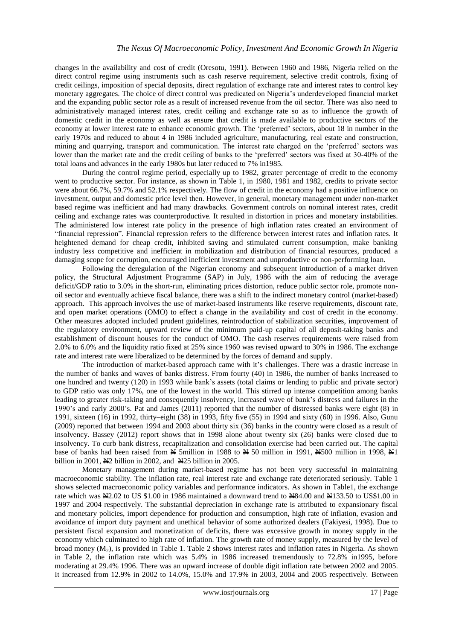changes in the availability and cost of credit (Oresotu, 1991). Between 1960 and 1986, Nigeria relied on the direct control regime using instruments such as cash reserve requirement, selective credit controls, fixing of credit ceilings, imposition of special deposits, direct regulation of exchange rate and interest rates to control key monetary aggregates. The choice of direct control was predicated on Nigeria"s underdeveloped financial market and the expanding public sector role as a result of increased revenue from the oil sector. There was also need to administratively managed interest rates, credit ceiling and exchange rate so as to influence the growth of domestic credit in the economy as well as ensure that credit is made available to productive sectors of the economy at lower interest rate to enhance economic growth. The 'preferred' sectors, about 18 in number in the early 1970s and reduced to about 4 in 1986 included agriculture, manufacturing, real estate and construction, mining and quarrying, transport and communication. The interest rate charged on the "preferred" sectors was lower than the market rate and the credit ceiling of banks to the "preferred" sectors was fixed at 30-40% of the total loans and advances in the early 1980s but later reduced to 7% in1985.

During the control regime period, especially up to 1982, greater percentage of credit to the economy went to productive sector. For instance, as shown in Table 1, in 1980, 1981 and 1982, credits to private sector were about 66.7%, 59.7% and 52.1% respectively. The flow of credit in the economy had a positive influence on investment, output and domestic price level then. However, in general, monetary management under non-market based regime was inefficient and had many drawbacks. Government controls on nominal interest rates, credit ceiling and exchange rates was counterproductive. It resulted in distortion in prices and monetary instabilities. The administered low interest rate policy in the presence of high inflation rates created an environment of "financial repression". Financial repression refers to the difference between interest rates and inflation rates. It heightened demand for cheap credit, inhibited saving and stimulated current consumption, make banking industry less competitive and inefficient in mobilization and distribution of financial resources, produced a damaging scope for corruption, encouraged inefficient investment and unproductive or non-performing loan.

Following the deregulation of the Nigerian economy and subsequent introduction of a market driven policy, the Structural Adjustment Programme (SAP) in July, 1986 with the aim of reducing the average deficit/GDP ratio to 3.0% in the short-run, eliminating prices distortion, reduce public sector role, promote nonoil sector and eventually achieve fiscal balance, there was a shift to the indirect monetary control (market-based) approach. This approach involves the use of market-based instruments like reserve requirements, discount rate, and open market operations (OMO) to effect a change in the availability and cost of credit in the economy. Other measures adopted included prudent guidelines, reintroduction of stabilization securities, improvement of the regulatory environment, upward review of the minimum paid-up capital of all deposit-taking banks and establishment of discount houses for the conduct of OMO. The cash reserves requirements were raised from 2.0% to 6.0% and the liquidity ratio fixed at 25% since 1960 was revised upward to 30% in 1986. The exchange rate and interest rate were liberalized to be determined by the forces of demand and supply.

The introduction of market-based approach came with it"s challenges. There was a drastic increase in the number of banks and waves of banks distress. From fourty (40) in 1986, the number of banks increased to one hundred and twenty (120) in 1993 while bank"s assets (total claims or lending to public and private sector) to GDP ratio was only 17%, one of the lowest in the world. This stirred up intense competition among banks leading to greater risk-taking and consequently insolvency, increased wave of bank"s distress and failures in the 1990"s and early 2000"s. Pat and James (2011) reported that the number of distressed banks were eight (8) in 1991, sixteen (16) in 1992, thirty–eight (38) in 1993, fifty five (55) in 1994 and sixty (60) in 1996. Also, Gunu (2009) reported that between 1994 and 2003 about thirty six (36) banks in the country were closed as a result of insolvency. Bassey (2012) report shows that in 1998 alone about twenty six (26) banks were closed due to insolvency. To curb bank distress, recapitalization and consolidation exercise had been carried out. The capital base of banks had been raised from N 5million in 1988 to N 50 million in 1991, N500 million in 1998, N1 billion in 2001, N2 billion in 2002, and N25 billion in 2005.

Monetary management during market-based regime has not been very successful in maintaining macroeconomic stability. The inflation rate, real interest rate and exchange rate deteriorated seriously. Table 1 shows selected macroeconomic policy variables and performance indicators. As shown in Table1, the exchange rate which was  $\text{N}2.02$  to US\$1.00 in 1986 maintained a downward trend to  $\text{N}84.00$  and  $\text{N}133.50$  to US\$1.00 in 1997 and 2004 respectively. The substantial depreciation in exchange rate is attributed to expansionary fiscal and monetary policies, import dependence for production and consumption, high rate of inflation, evasion and avoidance of import duty payment and unethical behavior of some authorized dealers (Fakiyesi, 1998). Due to persistent fiscal expansion and monetization of deficits, there was excessive growth in money supply in the economy which culminated to high rate of inflation. The growth rate of money supply, measured by the level of broad money  $(M_2)$ , is provided in Table 1. Table 2 shows interest rates and inflation rates in Nigeria. As shown in Table 2, the inflation rate which was 5.4% in 1986 increased tremendously to 72.8% in1995, before moderating at 29.4% 1996. There was an upward increase of double digit inflation rate between 2002 and 2005. It increased from 12.9% in 2002 to 14.0%, 15.0% and 17.9% in 2003, 2004 and 2005 respectively. Between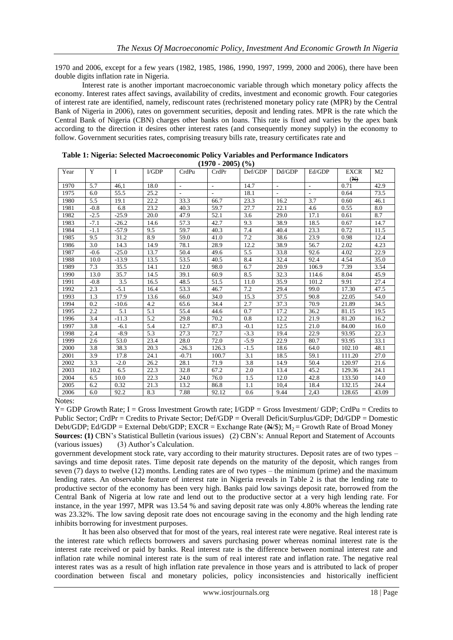1970 and 2006, except for a few years (1982, 1985, 1986, 1990, 1997, 1999, 2000 and 2006), there have been double digits inflation rate in Nigeria.

Interest rate is another important macroeconomic variable through which monetary policy affects the economy. Interest rates affect savings, availability of credits, investment and economic growth. Four categories of interest rate are identified, namely, rediscount rates (rechristened monetary policy rate (MPR) by the Central Bank of Nigeria in 2006), rates on government securities, deposit and lending rates. MPR is the rate which the Central Bank of Nigeria (CBN) charges other banks on loans. This rate is fixed and varies by the apex bank according to the direction it desires other interest rates (and consequently money supply) in the economy to follow. Government securities rates, comprising treasury bills rate, treasury certificates rate and

| (1970 - 2003) (70) |        |             |      |         |                          |         |                          |        |                |                |  |
|--------------------|--------|-------------|------|---------|--------------------------|---------|--------------------------|--------|----------------|----------------|--|
| Year               | Y      | $\mathbf I$ | VGDP | CrdPu   | CrdPr                    | Def/GDP | Dd/GDP                   | Ed/GDP | <b>EXCR</b>    | M <sub>2</sub> |  |
|                    |        |             |      |         |                          |         |                          |        | $(\mathbb{H})$ |                |  |
| 1970               | 5.7    | 46.1        | 18.0 |         | $\overline{\phantom{a}}$ | 14.7    | $\overline{\phantom{a}}$ |        | 0.71           | 42.9           |  |
| 1975               | 6.0    | 55.5        | 25.2 |         | $\sim$                   | 18.1    | $\sim$                   | $\sim$ | 0.64           | 73.5           |  |
| 1980               | 5.5    | 19.1        | 22.2 | 33.3    | 66.7                     | 23.3    | 16.2                     | 3.7    | 0.60           | 46.1           |  |
| 1981               | $-0.8$ | 6.8         | 23.2 | 40.3    | 59.7                     | 27.7    | 22.1                     | 4.6    | 0.55           | 8.0            |  |
| 1982               | $-2.5$ | $-25.9$     | 20.0 | 47.9    | 52.1                     | 3.6     | 29.0                     | 17.1   | 0.61           | 8.7            |  |
| 1983               | $-7.1$ | $-26.2$     | 14.6 | 57.3    | 42.7                     | 9.3     | 38.9                     | 18.5   | 0.67           | 14.7           |  |
| 1984               | $-1.1$ | $-57.9$     | 9.5  | 59.7    | 40.3                     | 7.4     | 40.4                     | 23.3   | 0.72           | 11.5           |  |
| 1985               | 9.5    | 31.2        | 8.9  | 59.0    | 41.0                     | 7.2     | 38.6                     | 23.9   | 0.98           | 12.4           |  |
| 1986               | 3.0    | 14.3        | 14.9 | 78.1    | 28.9                     | 12.2    | 38.9                     | 56.7   | 2.02           | 4.23           |  |
| 1987               | $-0.6$ | $-25.0$     | 13.7 | 50.4    | 49.6                     | 5.5     | 33.8                     | 92.6   | 4.02           | 22.9           |  |
| 1988               | 10.0   | $-13.9$     | 13.5 | 53.5    | 40.5                     | 8.4     | 32.4                     | 92.4   | 4.54           | 35.0           |  |
| 1989               | 7.3    | 35.5        | 14.1 | 12.0    | 98.0                     | 6.7     | 20.9                     | 106.9  | 7.39           | 3.54           |  |
| 1990               | 13.0   | 35.7        | 14.5 | 39.1    | 60.9                     | 8.5     | 32.3                     | 114.6  | 8.04           | 45.9           |  |
| 1991               | $-0.8$ | 3.5         | 16.5 | 48.5    | 51.5                     | 11.0    | 35.9                     | 101.2  | 9.91           | 27.4           |  |
| 1992               | 2.3    | $-5.1$      | 16.4 | 53.3    | 46.7                     | 7.2     | 29.4                     | 99.0   | 17.30          | 47.5           |  |
| 1993               | 1.3    | 17.9        | 13.6 | 66.0    | 34.0                     | 15.3    | 37.5                     | 90.8   | 22.05          | 54.0           |  |
| 1994               | 0.2    | $-10.6$     | 4.2  | 65.6    | 34.4                     | 2.7     | 37.3                     | 70.9   | 21.89          | 34.5           |  |
| 1995               | 2.2    | 5.1         | 5.1  | 55.4    | 44.6                     | 0.7     | 17.2                     | 36.2   | 81.15          | 19.5           |  |
| 1996               | 3.4    | $-11.3$     | 5.2  | 29.8    | 70.2                     | 0.8     | 12.2                     | 21.9   | 81.20          | 16.2           |  |
| 1997               | 3.8    | -6.1        | 5.4  | 12.7    | 87.3                     | $-0.1$  | 12.5                     | 21.0   | 84.00          | 16.0           |  |
| 1998               | 2.4    | $-8.9$      | 5.3  | 27.3    | 72.7                     | $-3.3$  | 19.4                     | 22.9   | 93.95          | 22.3           |  |
| 1999               | 2.6    | 53.0        | 23.4 | 28.0    | 72.0                     | $-5.9$  | 22.9                     | 80.7   | 93.95          | 33.1           |  |
| 2000               | 3.8    | 38.3        | 20.3 | $-26.3$ | 126.3                    | $-1.5$  | 18.6                     | 64.0   | 102.10         | 48.1           |  |
| 2001               | 3.9    | 17.8        | 24.1 | $-0.71$ | 100.7                    | 3.1     | 18.5                     | 59.1   | 111.20         | 27.0           |  |
| 2002               | 3.3    | $-2.0$      | 26.2 | 28.1    | 71.9                     | 3.8     | 14.9                     | 50.4   | 120.97         | 21.6           |  |
| 2003               | 10.2   | 6.5         | 22.3 | 32.8    | 67.2                     | 2.0     | 13.4                     | 45.2   | 129.36         | 24.1           |  |
| 2004               | 6.5    | 10.0        | 22.3 | 24.0    | 76.0                     | 1.5     | 12.0                     | 42.8   | 133.50         | 14.0           |  |
| 2005               | 6.2    | 0.32        | 21.3 | 13.2    | 86.8                     | 1.1     | 10,4                     | 18.4   | 132.15         | 24.4           |  |
| 2006               | 6.0    | 92.2        | 8.3  | 7.88    | 92.12                    | 0.6     | 9.44                     | 2,43   | 128.65         | 43.09          |  |

**Table 1: Nigeria: Selected Macroeconomic Policy Variables and Performance Indicators (1970 - 2005) (%)**

Notes:

 $Y = GDP$  Growth Rate; I = Gross Investment Growth rate; I/GDP = Gross Investment/ GDP; CrdPu = Credits to Public Sector; CrdPr = Credits to Private Sector; Def/GDP = Overall Deficit/Surplus/GDP; Dd/GDP = Domestic Debt/GDP; Ed/GDP = External Debt/GDP; EXCR = Exchange Rate  $(\frac{N}{s})$ ;  $M_2$  = Growth Rate of Broad Money **Sources: (1)** CBN"s Statistical Bulletin (various issues)(2) CBN"s: Annual Report and Statement of Accounts (various issues)(3) Author"s Calculation.

government development stock rate, vary according to their maturity structures. Deposit rates are of two types – savings and time deposit rates. Time deposit rate depends on the maturity of the deposit, which ranges from seven (7) days to twelve (12) months. Lending rates are of two types – the minimum (prime) and the maximum lending rates. An observable feature of interest rate in Nigeria reveals in Table 2 is that the lending rate to productive sector of the economy has been very high. Banks paid low savings deposit rate, borrowed from the Central Bank of Nigeria at low rate and lend out to the productive sector at a very high lending rate. For instance, in the year 1997, MPR was 13.54 % and saving deposit rate was only 4.80% whereas the lending rate was 23.32%. The low saving deposit rate does not encourage saving in the economy and the high lending rate inhibits borrowing for investment purposes.

It has been also observed that for most of the years, real interest rate were negative. Real interest rate is the interest rate which reflects borrowers and savers purchasing power whereas nominal interest rate is the interest rate received or paid by banks. Real interest rate is the difference between nominal interest rate and inflation rate while nominal interest rate is the sum of real interest rate and inflation rate. The negative real interest rates was as a result of high inflation rate prevalence in those years and is attributed to lack of proper coordination between fiscal and monetary policies, policy inconsistencies and historically inefficient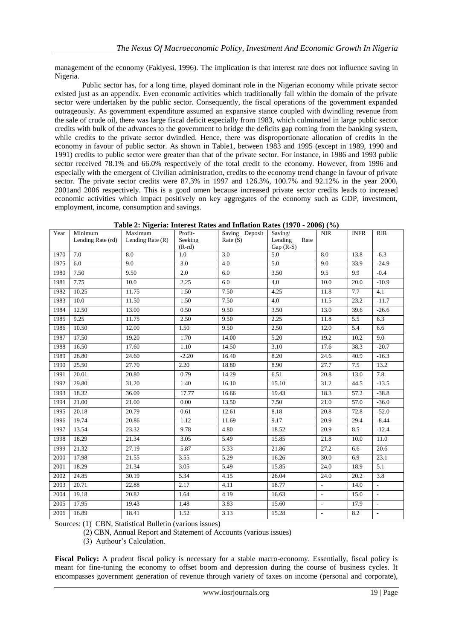management of the economy (Fakiyesi, 1996). The implication is that interest rate does not influence saving in Nigeria.

Public sector has, for a long time, played dominant role in the Nigerian economy while private sector existed just as an appendix. Even economic activities which traditionally fall within the domain of the private sector were undertaken by the public sector. Consequently, the fiscal operations of the government expanded outrageously. As government expenditure assumed an expansive stance coupled with dwindling revenue from the sale of crude oil, there was large fiscal deficit especially from 1983, which culminated in large public sector credits with bulk of the advances to the government to bridge the deficits gap coming from the banking system, while credits to the private sector dwindled. Hence, there was disproportionate allocation of credits in the economy in favour of public sector. As shown in Table1, between 1983 and 1995 (except in 1989, 1990 and 1991) credits to public sector were greater than that of the private sector. For instance, in 1986 and 1993 public sector received 78.1% and 66.0% respectively of the total credit to the economy. However, from 1996 and especially with the emergent of Civilian administration, credits to the economy trend change in favour of private sector. The private sector credits were 87.3% in 1997 and 126.3%, 100.7% and 92.12% in the year 2000, 2001and 2006 respectively. This is a good omen because increased private sector credits leads to increased economic activities which impact positively on key aggregates of the economy such as GDP, investment, employment, income, consumption and savings.

| Year | Minimum<br>Lending Rate (rd) | Maximum<br>Lending Rate $(R)$ | Profit-<br>Seeking | Saving Deposit<br>Rate(S) | Saving/<br>Lending<br>Rate | $\ensuremath{\text{NIR}}\xspace$ | <b>INFR</b> | RIR          |
|------|------------------------------|-------------------------------|--------------------|---------------------------|----------------------------|----------------------------------|-------------|--------------|
|      |                              |                               | $(R-rd)$           |                           | Gap $(R-S)$                |                                  |             |              |
| 1970 | 7.0                          | 8.0                           | 1.0                | 3.0                       | 5.0                        | 8.0                              | 13.8        | $-6.3$       |
| 1975 | 6.0                          | 9.0                           | $\overline{3.0}$   | $\overline{4.0}$          | 5.0                        | 9.0                              | 33.9        | $-24.9$      |
| 1980 | 7.50                         | 9.50                          | 2.0                | 6.0                       | 3.50                       | 9.5                              | 9.9         | $-0.4$       |
| 1981 | 7.75                         | 10.0                          | 2.25               | 6.0                       | 4.0                        | 10.0                             | 20.0        | $-10.9$      |
| 1982 | 10.25                        | 11.75                         | 1.50               | 7.50                      | 4.25                       | 11.8                             | 7.7         | 4.1          |
| 1983 | 10.0                         | 11.50                         | 1.50               | 7.50                      | 4.0                        | 11.5                             | 23.2        | $-11.7$      |
| 1984 | 12.50                        | 13.00                         | 0.50               | 9.50                      | 3.50                       | 13.0                             | 39.6        | $-26.6$      |
| 1985 | 9.25                         | 11.75                         | 2.50               | 9.50                      | 2.25                       | 11.8                             | 5.5         | 6.3          |
| 1986 | 10.50                        | 12.00                         | 1.50               | 9.50                      | 2.50                       | 12.0                             | 5.4         | 6.6          |
| 1987 | 17.50                        | 19.20                         | 1.70               | 14.00                     | 5.20                       | 19.2                             | 10.2        | 9.0          |
| 1988 | 16.50                        | 17.60                         | 1.10               | 14.50                     | 3.10                       | 17.6                             | 38.3        | $-20.7$      |
| 1989 | 26.80                        | 24.60                         | $-2.20$            | 16.40                     | 8.20                       | 24.6                             | 40.9        | $-16.3$      |
| 1990 | 25.50                        | 27.70                         | 2.20               | 18.80                     | 8.90                       | 27.7                             | 7.5         | 13.2         |
| 1991 | 20.01                        | 20.80                         | 0.79               | 14.29                     | 6.51                       | 20.8                             | 13.0        | 7.8          |
| 1992 | 29.80                        | 31.20                         | 1.40               | 16.10                     | 15.10                      | 31.2                             | 44.5        | $-13.5$      |
| 1993 | 18.32                        | 36.09                         | 17.77              | 16.66                     | 19.43                      | 18.3                             | 57.2        | $-38.8$      |
| 1994 | 21.00                        | 21.00                         | 0.00               | 13.50                     | 7.50                       | 21.0                             | 57.0        | $-36.0$      |
| 1995 | 20.18                        | 20.79                         | 0.61               | 12.61                     | 8.18                       | 20.8                             | 72.8        | $-52.0$      |
| 1996 | 19.74                        | 20.86                         | 1.12               | 11.69                     | 9.17                       | 20.9                             | 29.4        | $-8.44$      |
| 1997 | 13.54                        | 23.32                         | 9.78               | 4.80                      | 18.52                      | 20.9                             | 8.5         | $-12.4$      |
| 1998 | 18.29                        | 21.34                         | 3.05               | 5.49                      | 15.85                      | 21.8                             | 10.0        | 11.0         |
| 1999 | 21.32                        | 27.19                         | 5.87               | 5.33                      | 21.86                      | 27.2                             | 6.6         | 20.6         |
| 2000 | 17.98                        | 21.55                         | 3.55               | $\overline{5.29}$         | 16.26                      | 30.0                             | 6.9         | 23.1         |
| 2001 | 18.29                        | 21.34                         | 3.05               | 5.49                      | 15.85                      | 24.0                             | 18.9        | 5.1          |
| 2002 | 24.85                        | 30.19                         | 5.34               | 4.15                      | 26.04                      | 24.0                             | 20.2        | 3.8          |
| 2003 | 20.71                        | 22.88                         | 2.17               | 4.11                      | 18.77                      | $\sim$                           | 14.0        | $\mathbf{r}$ |
| 2004 | 19.18                        | 20.82                         | 1.64               | 4.19                      | 16.63                      | $\overline{\phantom{a}}$         | 15.0        | $\sim$       |
| 2005 | 17.95                        | 19.43                         | 1.48               | 3.83                      | 15.60                      | $\overline{\phantom{a}}$         | 17.9        | L.           |
| 2006 | 16.89                        | 18.41                         | 1.52               | 3.13                      | 15.28                      | $\overline{\phantom{a}}$         | 8.2         | $\sim$       |

**Table 2: Nigeria: Interest Rates and Inflation Rates (1970 - 2006) (%)**

Sources: (1) CBN, Statistical Bulletin (various issues)

(2) CBN, Annual Report and Statement of Accounts (various issues)

(3) Authour"s Calculation.

**Fiscal Policy:** A prudent fiscal policy is necessary for a stable macro-economy. Essentially, fiscal policy is meant for fine-tuning the economy to offset boom and depression during the course of business cycles. It encompasses government generation of revenue through variety of taxes on income (personal and corporate),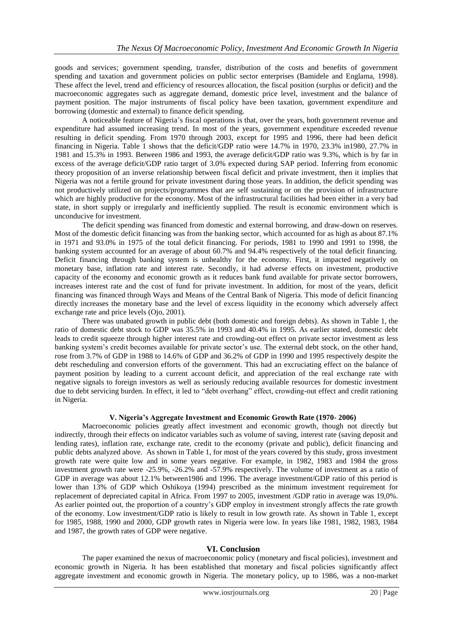goods and services; government spending, transfer, distribution of the costs and benefits of government spending and taxation and government policies on public sector enterprises (Bamidele and Englama, 1998). These affect the level, trend and efficiency of resources allocation, the fiscal position (surplus or deficit) and the macroeconomic aggregates such as aggregate demand, domestic price level, investment and the balance of payment position. The major instruments of fiscal policy have been taxation, government expenditure and borrowing (domestic and external) to finance deficit spending.

A noticeable feature of Nigeria"s fiscal operations is that, over the years, both government revenue and expenditure had assumed increasing trend. In most of the years, government expenditure exceeded revenue resulting in deficit spending. From 1970 through 2003, except for 1995 and 1996, there had been deficit financing in Nigeria. Table 1 shows that the deficit/GDP ratio were 14.7% in 1970, 23.3% in1980, 27.7% in 1981 and 15.3% in 1993. Between 1986 and 1993, the average deficit/GDP ratio was 9.3%, which is by far in excess of the average deficit/GDP ratio target of 3.0% expected during SAP period. Inferring from economic theory proposition of an inverse relationship between fiscal deficit and private investment, then it implies that Nigeria was not a fertile ground for private investment during those years. In addition, the deficit spending was not productively utilized on projects/programmes that are self sustaining or on the provision of infrastructure which are highly productive for the economy. Most of the infrastructural facilities had been either in a very bad state, in short supply or irregularly and inefficiently supplied. The result is economic environment which is unconducive for investment.

The deficit spending was financed from domestic and external borrowing, and draw-down on reserves. Most of the domestic deficit financing was from the banking sector, which accounted for as high as about 87.1% in 1971 and 93.0% in 1975 of the total deficit financing. For periods, 1981 to 1990 and 1991 to 1998, the banking system accounted for an average of about 60.7% and 94.4% respectively of the total deficit financing. Deficit financing through banking system is unhealthy for the economy. First, it impacted negatively on monetary base, inflation rate and interest rate. Secondly, it had adverse effects on investment, productive capacity of the economy and economic growth as it reduces bank fund available for private sector borrowers, increases interest rate and the cost of fund for private investment. In addition, for most of the years, deficit financing was financed through Ways and Means of the Central Bank of Nigeria. This mode of deficit financing directly increases the monetary base and the level of excess liquidity in the economy which adversely affect exchange rate and price levels (Ojo, 2001).

There was unabated growth in public debt (both domestic and foreign debts). As shown in Table 1, the ratio of domestic debt stock to GDP was 35.5% in 1993 and 40.4% in 1995. As earlier stated, domestic debt leads to credit squeeze through higher interest rate and crowding-out effect on private sector investment as less banking system"s credit becomes available for private sector"s use. The external debt stock, on the other hand, rose from 3.7% of GDP in 1988 to 14.6% of GDP and 36.2% of GDP in 1990 and 1995 respectively despite the debt rescheduling and conversion efforts of the government. This had an excruciating effect on the balance of payment position by leading to a current account deficit, and appreciation of the real exchange rate with negative signals to foreign investors as well as seriously reducing available resources for domestic investment due to debt servicing burden. In effect, it led to "debt overhang" effect, crowding-out effect and credit rationing in Nigeria.

## **V. Nigeria's Aggregate Investment and Economic Growth Rate (1970- 2006)**

Macroeconomic policies greatly affect investment and economic growth, though not directly but indirectly, through their effects on indicator variables such as volume of saving, interest rate (saving deposit and lending rates), inflation rate, exchange rate, credit to the economy (private and public), deficit financing and public debts analyzed above. As shown in Table 1, for most of the years covered by this study, gross investment growth rate were quite low and in some years negative. For example, in 1982, 1983 and 1984 the gross investment growth rate were -25.9%, -26.2% and -57.9% respectively. The volume of investment as a ratio of GDP in average was about 12.1% between1986 and 1996. The average investment/GDP ratio of this period is lower than 13% of GDP which Oshikoya (1994) prescribed as the minimum investment requirement for replacement of depreciated capital in Africa. From 1997 to 2005, investment /GDP ratio in average was 19,0%. As earlier pointed out, the proportion of a country"s GDP employ in investment strongly affects the rate growth of the economy. Low investment/GDP ratio is likely to result in low growth rate. As shown in Table 1, except for 1985, 1988, 1990 and 2000, GDP growth rates in Nigeria were low. In years like 1981, 1982, 1983, 1984 and 1987, the growth rates of GDP were negative.

#### **VI. Conclusion**

The paper examined the nexus of macroeconomic policy (monetary and fiscal policies), investment and economic growth in Nigeria. It has been established that monetary and fiscal policies significantly affect aggregate investment and economic growth in Nigeria. The monetary policy, up to 1986, was a non-market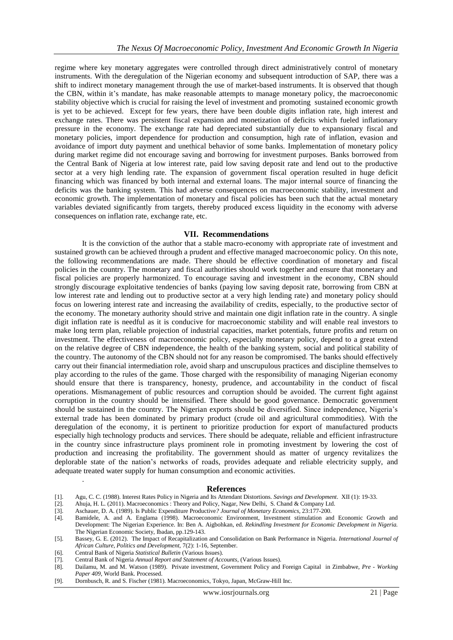regime where key monetary aggregates were controlled through direct administratively control of monetary instruments. With the deregulation of the Nigerian economy and subsequent introduction of SAP, there was a shift to indirect monetary management through the use of market-based instruments. It is observed that though the CBN, within it"s mandate, has make reasonable attempts to manage monetary policy, the macroeconomic stability objective which is crucial for raising the level of investment and promoting sustained economic growth is yet to be achieved. Except for few years, there have been double digits inflation rate, high interest and exchange rates. There was persistent fiscal expansion and monetization of deficits which fueled inflationary pressure in the economy. The exchange rate had depreciated substantially due to expansionary fiscal and monetary policies, import dependence for production and consumption, high rate of inflation, evasion and avoidance of import duty payment and unethical behavior of some banks. Implementation of monetary policy during market regime did not encourage saving and borrowing for investment purposes. Banks borrowed from the Central Bank of Nigeria at low interest rate, paid low saving deposit rate and lend out to the productive sector at a very high lending rate. The expansion of government fiscal operation resulted in huge deficit financing which was financed by both internal and external loans. The major internal source of financing the deficits was the banking system. This had adverse consequences on macroeconomic stability, investment and economic growth. The implementation of monetary and fiscal policies has been such that the actual monetary variables deviated significantly from targets, thereby produced excess liquidity in the economy with adverse consequences on inflation rate, exchange rate, etc.

#### **VII. Recommendations**

It is the conviction of the author that a stable macro-economy with appropriate rate of investment and sustained growth can be achieved through a prudent and effective managed macroeconomic policy. On this note, the following recommendations are made. There should be effective coordination of monetary and fiscal policies in the country. The monetary and fiscal authorities should work together and ensure that monetary and fiscal policies are properly harmonized. To encourage saving and investment in the economy, CBN should strongly discourage exploitative tendencies of banks (paying low saving deposit rate, borrowing from CBN at low interest rate and lending out to productive sector at a very high lending rate) and monetary policy should focus on lowering interest rate and increasing the availability of credits, especially, to the productive sector of the economy. The monetary authority should strive and maintain one digit inflation rate in the country. A single digit inflation rate is needful as it is conducive for macroeconomic stability and will enable real investors to make long term plan, reliable projection of industrial capacities, market potentials, future profits and return on investment. The effectiveness of macroeconomic policy, especially monetary policy, depend to a great extend on the relative degree of CBN independence, the health of the banking system, social and political stability of the country. The autonomy of the CBN should not for any reason be compromised. The banks should effectively carry out their financial intermediation role, avoid sharp and unscrupulous practices and discipline themselves to play according to the rules of the game. Those charged with the responsibility of managing Nigerian economy should ensure that there is transparency, honesty, prudence, and accountability in the conduct of fiscal operations. Mismanagement of public resources and corruption should be avoided. The current fight against corruption in the country should be intensified. There should be good governance. Democratic government should be sustained in the country. The Nigerian exports should be diversified. Since independence, Nigeria"s external trade has been dominated by primary product (crude oil and agricultural commodities). With the deregulation of the economy, it is pertinent to prioritize production for export of manufactured products especially high technology products and services. There should be adequate, reliable and efficient infrastructure in the country since infrastructure plays prominent role in promoting investment by lowering the cost of production and increasing the profitability. The government should as matter of urgency revitalizes the deplorable state of the nation"s networks of roads, provides adequate and reliable electricity supply, and adequate treated water supply for human consumption and economic activities.

#### **References**

- [1]. Agu, C. C. (1988). Interest Rates Policy in Nigeria and Its Attendant Distortions*. Savings and Development*. XII (1): 19-33.
- [2]. Ahuja, H. L. (2011). Macroeconomics : Theory and Policy, Nagar, New Delhi, S. Chand & Company Ltd.
- [3]. Aschauer, D. A. (1989). Is Public Expenditure Productive*? Journal of Monetary Economics*, 23:177-200.
- [4]. Bamidele, A. and A. Englama (1998). Macroeconomic Environment, Investment stimulation and Economic Growth and Development: The Nigerian Experience. In: Ben A. Aigbohkan, ed. *Rekindling Investment for Economic Development in Nigeria.* The Nigerian Economic Society, Ibadan, pp.129-143.
- [5]. Bassey, G. E. (2012). The Impact of Recapitalization and Consolidation on Bank Performance in Nigeria*. International Journal of African Culture, Politics and Development,* 7(2): 1-16, September.
- [6]. Central Bank of Nigeria *Statistical Bulletin* (Various Issues).

.

- [7]. Central Bank of Nigeria *Annual Report and Statement of Accounts*, (Various Issues).
- [8]. Dailamu, M. and M. Watson (1989). Private investment, Government Policy and Foreign Capital in Zimbabwe*, Pre - Working Paper 409*, World Bank. Processed.
- [9]. Dornbusch, R. and S. Fischer (1981). Macroeconomics, Tokyo, Japan, McGraw-Hill Inc.